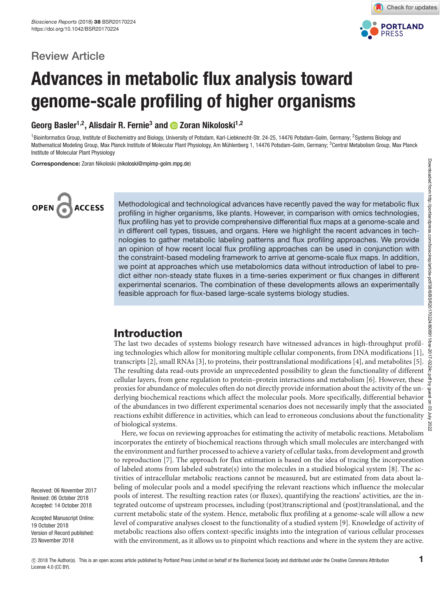### **Review Article**



# **Advances in metabolic flux analysis toward genome-scale profiling of higher organisms**

**Georg Basler1,2, Alisdair R. Fernie3 and Zoran Nikoloski1,2**

<sup>1</sup>Bioinformatics Group, Institute of Biochemistry and Biology, University of Potsdam, Karl-Liebknecht-Str. 24-25, 14476 Potsdam-Golm, Germany; <sup>2</sup>Systems Biology and Mathematical Modeling Group, Max Planck Institute of Molecular Plant Physiology, Am Mühlenberg 1, 14476 Potsdam-Golm, Germany; <sup>3</sup>Central Metabolism Group, Max Planck Institute of Molecular Plant Physiology

**Correspondence:** Zoran Nikoloski [\(nikoloski@mpimp-golm.mpg.de\)](mailto:nikoloski@mpimp-golm.mpg.de)



Methodological and technological advances have recently paved the way for metabolic flux profiling in higher organisms, like plants. However, in comparison with omics technologies, flux profiling has yet to provide comprehensive differential flux maps at a genome-scale and in different cell types, tissues, and organs. Here we highlight the recent advances in technologies to gather metabolic labeling patterns and flux profiling approaches. We provide an opinion of how recent local flux profiling approaches can be used in conjunction with the constraint-based modeling framework to arrive at genome-scale flux maps. In addition, we point at approaches which use metabolomics data without introduction of label to predict either non-steady state fluxes in a time-series experiment or flux changes in different experimental scenarios. The combination of these developments allows an experimentally feasible approach for flux-based large-scale systems biology studies.

## **Introduction**

The last two decades of systems biology research have witnessed advances in high-throughput profiling technologies which allow for monitoring multiple cellular components, from DNA modifications [\[1\]](#page-7-0), transcripts [\[2\]](#page-7-1), small RNAs [\[3\]](#page-7-2), to proteins, their posttranslational modifications [\[4\]](#page-7-3), and metabolites [\[5\]](#page-7-4). The resulting data read-outs provide an unprecedented possibility to glean the functionality of different  $\frac{8}{9}$ cellular layers, from gene regulation to protein–protein interactions and metabolism [\[6\]](#page-7-5). However, these proxies for abundance of molecules often do not directly provide information about the activity of the underlying biochemical reactions which affect the molecular pools. More specifically, differential behavior of the abundances in two different experimental scenarios does not necessarily imply that the associated  $\frac{1}{62}$ reactions exhibit difference in activities, which can lead to erroneous conclusions about the functionality of biological systems.

Here, we focus on reviewing approaches for estimating the activity of metabolic reactions. Metabolism incorporates the entirety of biochemical reactions through which small molecules are interchanged with the environment and further processed to achieve a variety of cellular tasks, from development and growth to reproduction [\[7\]](#page-7-6). The approach for flux estimation is based on the idea of tracing the incorporation of labeled atoms from labeled substrate(s) into the molecules in a studied biological system [\[8\]](#page-7-7). The activities of intracellular metabolic reactions cannot be measured, but are estimated from data about labeling of molecular pools and a model specifying the relevant reactions which influence the molecular pools of interest. The resulting reaction rates (or fluxes), quantifying the reactions' activities, are the integrated outcome of upstream processes, including (post)transcriptional and (post)translational, and the current metabolic state of the system. Hence, metabolic flux profiling at a genome-scale will allow a new level of comparative analyses closest to the functionality of a studied system [\[9\]](#page-7-8). Knowledge of activity of metabolic reactions also offers context-specific insights into the integration of various cellular processes with the environment, as it allows us to pinpoint which reactions and where in the system they are active.

Received: 06 November 2017 Revised: 06 October 2018 Accepted: 14 October 2018

Accepted Manuscript Online: 19 October 2018 Version of Record published: 23 November 2018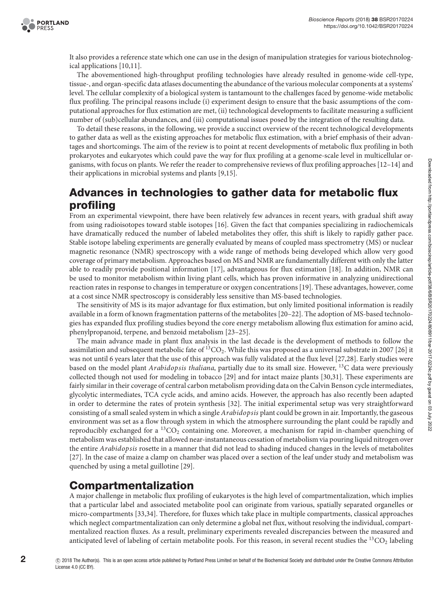

It also provides a reference state which one can use in the design of manipulation strategies for various biotechnological applications [\[10,](#page-7-9)[11\]](#page-7-10).

The abovementioned high-throughput profiling technologies have already resulted in genome-wide cell-type, tissue-, and organ-specific data atlases documenting the abundance of the various molecular components at a systems' level. The cellular complexity of a biological system is tantamount to the challenges faced by genome-wide metabolic flux profiling. The principal reasons include (i) experiment design to ensure that the basic assumptions of the computational approaches for flux estimation are met, (ii) technological developments to facilitate measuring a sufficient number of (sub)cellular abundances, and (iii) computational issues posed by the integration of the resulting data.

To detail these reasons, in the following, we provide a succinct overview of the recent technological developments to gather data as well as the existing approaches for metabolic flux estimation, with a brief emphasis of their advantages and shortcomings. The aim of the review is to point at recent developments of metabolic flux profiling in both prokaryotes and eukaryotes which could pave the way for flux profiling at a genome-scale level in multicellular organisms, with focus on plants. We refer the reader to comprehensive reviews of flux profiling approaches [\[12–14\]](#page-7-11) and their applications in microbial systems and plants [\[9,](#page-7-8)[15\]](#page-7-12).

# **Advances in technologies to gather data for metabolic flux profiling**

From an experimental viewpoint, there have been relatively few advances in recent years, with gradual shift away from using radioisotopes toward stable isotopes [\[16\]](#page-7-13). Given the fact that companies specializing in radiochemicals have dramatically reduced the number of labeled metabolites they offer, this shift is likely to rapidly gather pace. Stable isotope labeling experiments are generally evaluated by means of coupled mass spectrometry (MS) or nuclear magnetic resonance (NMR) spectroscopy with a wide range of methods being developed which allow very good coverage of primary metabolism. Approaches based on MS and NMR are fundamentally different with only the latter able to readily provide positional information [\[17\]](#page-7-14), advantageous for flux estimation [\[18\]](#page-7-15). In addition, NMR can be used to monitor metabolism within living plant cells, which has proven informative in analyzing unidirectional reaction rates in response to changes in temperature or oxygen concentrations [\[19\]](#page-7-16). These advantages, however, come at a cost since NMR spectroscopy is considerably less sensitive than MS-based technologies.

The sensitivity of MS is its major advantage for flux estimation, but only limited positional information is readily available in a form of known fragmentation patterns of the metabolites [\[20–22\]](#page-7-17). The adoption of MS-based technologies has expanded flux profiling studies beyond the core energy metabolism allowing flux estimation for amino acid, phenylpropanoid, terpene, and benzoid metabolism [\[23–25\]](#page-8-0).

The main advance made in plant flux analysis in the last decade is the development of methods to follow the assimilation and subsequent metabolic fate of  ${}^{13}CO_2$ . While this was proposed as a universal substrate in 2007 [\[26\]](#page-8-1) it was not until 6 years later that the use of this approach was fully validated at the flux level [\[27,](#page-8-2)[28\]](#page-8-3). Early studies were based on the model plant *Arabidopsis thaliana*, partially due to its small size. However, 13C data were previously collected though not used for modeling in tobacco [\[29\]](#page-8-4) and for intact maize plants [\[30,](#page-8-5)[31\]](#page-8-6). These experiments are fairly similar in their coverage of central carbon metabolism providing data on the Calvin Benson cycle intermediates, glycolytic intermediates, TCA cycle acids, and amino acids. However, the approach has also recently been adapted in order to determine the rates of protein synthesis [\[32\]](#page-8-7). The initial experimental setup was very straightforward consisting of a smallsealed system in which a single *Arabidopsis* plant could be grown in air.Importantly, the gaseous environment was set as a flow through system in which the atmosphere surrounding the plant could be rapidly and reproducibly exchanged for a  $^{13}CO_2$  containing one. Moreover, a mechanism for rapid in-chamber quenching of metabolism was established that allowed near-instantaneous cessation of metabolism via pouring liquid nitrogen over the entire *Arabidopsis* rosette in a manner that did not lead to shading induced changes in the levels of metabolites [\[27\]](#page-8-2). In the case of maize a clamp on chamber was placed over a section of the leaf under study and metabolism was quenched by using a metal guillotine [\[29\]](#page-8-4).

## **Compartmentalization**

A major challenge in metabolic flux profiling of eukaryotes is the high level of compartmentalization, which implies that a particular label and associated metabolite pool can originate from various, spatially separated organelles or micro-compartments [\[33](#page-8-8)[,34\]](#page-8-9). Therefore, for fluxes which take place in multiple compartments, classical approaches which neglect compartmentalization can only determine a global net flux, without resolving the individual, compartmentalized reaction fluxes. As a result, preliminary experiments revealed discrepancies between the measured and anticipated level of labeling of certain metabolite pools. For this reason, in several recent studies the  ${}^{13}CO_2$  labeling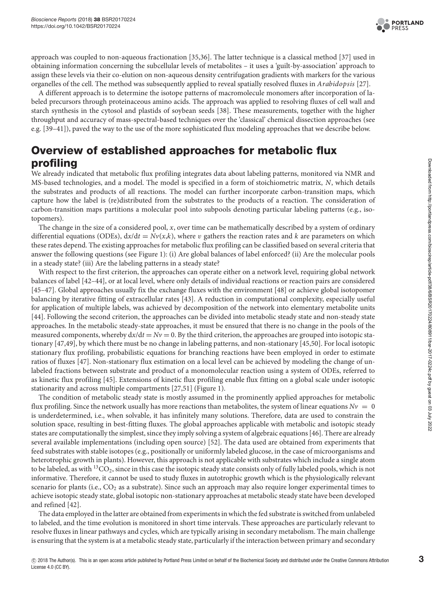

approach was coupled to non-aqueous fractionation [\[35,](#page-8-10)[36\]](#page-8-11). The latter technique is a classical method [\[37\]](#page-8-12) used in obtaining information concerning the subcellular levels of metabolites – it uses a 'guilt-by-association' approach to assign these levels via their co-elution on non-aqueous density centrifugation gradients with markers for the various organelles of the cell. The method was subsequently applied to reveal spatially resolved fluxes in *Arabidopsis* [\[27\]](#page-8-2).

A different approach is to determine the isotope patterns of macromolecule monomers after incorporation of labeled precursors through proteinaceous amino acids. The approach was applied to resolving fluxes of cell wall and starch synthesis in the cytosol and plastids of soybean seeds [\[38\]](#page-8-13). These measurements, together with the higher throughput and accuracy of mass-spectral-based techniques over the 'classical' chemical dissection approaches (see e.g. [\[39–41\]](#page-8-14)), paved the way to the use of the more sophisticated flux modeling approaches that we describe below.

# **Overview of established approaches for metabolic flux profiling**

We already indicated that metabolic flux profiling integrates data about labeling patterns, monitored via NMR and MS-based technologies, and a model. The model is specified in a form of stoichiometric matrix, *N*, which details the substrates and products of all reactions. The model can further incorporate carbon-transition maps, which capture how the label is (re)distributed from the substrates to the products of a reaction. The consideration of carbon-transition maps partitions a molecular pool into subpools denoting particular labeling patterns (e.g., isotopomers).

The change in the size of a considered pool, *x*, over time can be mathematically described by a system of ordinary differential equations (ODEs),  $dx/dt = Nv(x,k)$ , where v gathers the reaction rates and *k* are parameters on which these rates depend. The existing approaches for metabolic flux profiling can be classified based on several criteria that answer the following questions (see [Figure](#page-3-0) 1): (i) Are global balances of label enforced? (ii) Are the molecular pools in a steady state? (iii) Are the labeling patterns in a steady state?

With respect to the first criterion, the approaches can operate either on a network level, requiring global network balances of label [\[42–44\]](#page-8-15), or at local level, where only details of individual reactions or reaction pairs are considered [\[45–47\]](#page-8-16). Global approaches usually fix the exchange fluxes with the environment [\[48\]](#page-8-17) or achieve global isotopomer balancing by iterative fitting of extracellular rates [\[43\]](#page-8-18). A reduction in computational complexity, especially useful for application of multiple labels, was achieved by decomposition of the network into elementary metabolite units [\[44\]](#page-8-19). Following the second criterion, the approaches can be divided into metabolic steady state and non-steady state approaches. In the metabolic steady-state approaches, it must be ensured that there is no change in the pools of the measured components, whereby  $dx/dt = Nv = 0$ . By the third criterion, the approaches are grouped into isotopic stationary [\[47,](#page-8-20)[49\]](#page-8-21), by which there must be no change in labeling patterns, and non-stationary [\[45,](#page-8-16)[50\]](#page-8-22). For local isotopic stationary flux profiling, probabilistic equations for branching reactions have been employed in order to estimate ratios of fluxes [\[47\]](#page-8-20). Non-stationary flux estimation on a local level can be achieved by modeling the change of unlabeled fractions between substrate and product of a monomolecular reaction using a system of ODEs, referred to as kinetic flux profiling [\[45\]](#page-8-16). Extensions of kinetic flux profiling enable flux fitting on a global scale under isotopic stationarity and across multiple compartments [\[27,](#page-8-2)[51\]](#page-8-23) [\(Figure](#page-3-0) 1).

The condition of metabolic steady state is mostly assumed in the prominently applied approaches for metabolic flux profiling. Since the network usually has more reactions than metabolites, the system of linear equations  $Nv = 0$ is underdetermined, i.e., when solvable, it has infinitely many solutions. Therefore, data are used to constrain the solution space, resulting in best-fitting fluxes. The global approaches applicable with metabolic and isotopic steady states are computationally the simplest, since they imply solving a system of algebraic equations [\[46\]](#page-8-24). There are already several available implementations (including open source) [\[52\]](#page-9-0). The data used are obtained from experiments that feed substrates with stable isotopes (e.g., positionally or uniformly labeled glucose, in the case of microorganisms and heterotrophic growth in plants). However, this approach is not applicable with substrates which include a single atom to be labeled, as with  ${}^{13}CO_2$ , since in this case the isotopic steady state consists only of fully labeled pools, which is not informative. Therefore, it cannot be used to study fluxes in autotrophic growth which is the physiologically relevant scenario for plants (i.e.,  $CO<sub>2</sub>$  as a substrate). Since such an approach may also require longer experimental times to achieve isotopic steady state, global isotopic non-stationary approaches at metabolic steady state have been developed and refined [\[42\]](#page-8-15).

The data employed in the latter are obtained from experiments in which the fed substrate is switched from unlabeled to labeled, and the time evolution is monitored in short time intervals. These approaches are particularly relevant to resolve fluxes in linear pathways and cycles, which are typically arising in secondary metabolism. The main challenge is ensuring that the system is at a metabolic steady state, particularly if the interaction between primary and secondary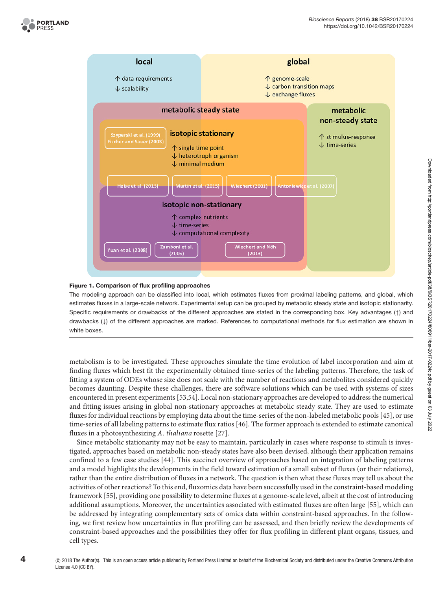



#### <span id="page-3-0"></span>**Figure 1. Comparison of flux profiling approaches**

The modeling approach can be classified into local, which estimates fluxes from proximal labeling patterns, and global, which estimates fluxes in a large-scale network. Experimental setup can be grouped by metabolic steady state and isotopic stationarity. Specific requirements or drawbacks of the different approaches are stated in the corresponding box. Key advantages (↑) and drawbacks (↓) of the different approaches are marked. References to computational methods for flux estimation are shown in white boxes.

metabolism is to be investigated. These approaches simulate the time evolution of label incorporation and aim at finding fluxes which best fit the experimentally obtained time-series of the labeling patterns. Therefore, the task of fitting a system of ODEs whose size does not scale with the number of reactions and metabolites considered quickly becomes daunting. Despite these challenges, there are software solutions which can be used with systems of sizes encountered in present experiments [\[53](#page-9-1)[,54\]](#page-9-2). Local non-stationary approaches are developed to address the numerical and fitting issues arising in global non-stationary approaches at metabolic steady state. They are used to estimate fluxes for individual reactions by employing data about the time-series of the non-labeled metabolic pools [\[45\]](#page-8-16), or use time-series of all labeling patterns to estimate flux ratios [\[46\]](#page-8-24). The former approach is extended to estimate canonical fluxes in a photosynthesizing *A. thaliana* rosette [\[27\]](#page-8-2).

Since metabolic stationarity may not be easy to maintain, particularly in cases where response to stimuli is investigated, approaches based on metabolic non-steady states have also been devised, although their application remains confined to a few case studies [\[44\]](#page-8-19). This succinct overview of approaches based on integration of labeling patterns and a model highlights the developments in the field toward estimation of a small subset of fluxes (or their relations), rather than the entire distribution of fluxes in a network. The question is then what these fluxes may tell us about the activities of other reactions? To this end, fluxomics data have been successfully used in the constraint-based modeling framework [\[55\]](#page-9-3), providing one possibility to determine fluxes at a genome-scale level, albeit at the cost of introducing additional assumptions. Moreover, the uncertainties associated with estimated fluxes are often large [\[55\]](#page-9-3), which can be addressed by integrating complementary sets of omics data within constraint-based approaches. In the following, we first review how uncertainties in flux profiling can be assessed, and then briefly review the developments of constraint-based approaches and the possibilities they offer for flux profiling in different plant organs, tissues, and cell types.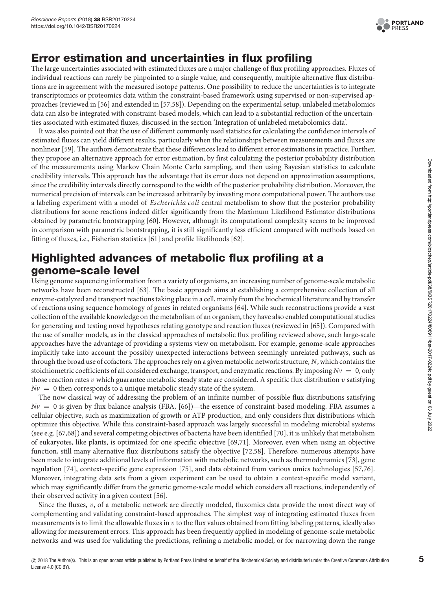

# **Error estimation and uncertainties in flux profiling**

The large uncertainties associated with estimated fluxes are a major challenge of flux profiling approaches. Fluxes of individual reactions can rarely be pinpointed to a single value, and consequently, multiple alternative flux distributions are in agreement with the measured isotope patterns. One possibility to reduce the uncertainties is to integrate transcriptomics or proteomics data within the constraint-based framework using supervised or non-supervised approaches (reviewed in [\[56\]](#page-9-4) and extended in [\[57,](#page-9-5)[58\]](#page-9-6)). Depending on the experimental setup, unlabeled metabolomics data can also be integrated with constraint-based models, which can lead to a substantial reduction of the uncertainties associated with estimated fluxes, discussed in the section 'Integration of unlabeled metabolomics data'.

It was also pointed out that the use of different commonly used statistics for calculating the confidence intervals of estimated fluxes can yield different results, particularly when the relationships between measurements and fluxes are nonlinear [\[59\]](#page-9-7). The authors demonstrate that these differences lead to different error estimations in practice. Further, they propose an alternative approach for error estimation, by first calculating the posterior probability distribution of the measurements using Markov Chain Monte Carlo sampling, and then using Bayesian statistics to calculate credibility intervals. This approach has the advantage that its error does not depend on approximation assumptions, since the credibility intervals directly correspond to the width of the posterior probability distribution. Moreover, the numerical precision of intervals can be increased arbitrarily by investing more computational power. The authors use a labeling experiment with a model of *Escherichia coli* central metabolism to show that the posterior probability distributions for some reactions indeed differ significantly from the Maximum Likelihood Estimator distributions obtained by parametric bootstrapping [\[60\]](#page-9-8). However, although its computational complexity seems to be improved in comparison with parametric bootstrapping, it is still significantly less efficient compared with methods based on fitting of fluxes, i.e., Fisherian statistics [\[61\]](#page-9-9) and profile likelihoods [\[62\]](#page-9-10).

# **Highlighted advances of metabolic flux profiling at a genome-scale level**

Using genome sequencing information from a variety of organisms, an increasing number of genome-scale metabolic networks have been reconstructed [\[63\]](#page-9-11). The basic approach aims at establishing a comprehensive collection of all enzyme-catalyzed and transport reactions taking place in a cell, mainly from the biochemical literature and by transfer of reactions using sequence homology of genes in related organisms [\[64\]](#page-9-12). While such reconstructions provide a vast collection of the available knowledge on the metabolism of an organism, they have also enabled computational studies for generating and testing novel hypotheses relating genotype and reaction fluxes (reviewed in [\[65\]](#page-9-13)). Compared with the use of smaller models, as in the classical approaches of metabolic flux profiling reviewed above, such large-scale approaches have the advantage of providing a systems view on metabolism. For example, genome-scale approaches implicitly take into account the possibly unexpected interactions between seemingly unrelated pathways, such as through the broad use of cofactors. The approaches rely on a given metabolic network structure, *N*, which contains the stoichiometric coefficients of all considered exchange, transport, and enzymatic reactions. By imposing  $Nv = 0$ , only those reaction rates v which guarantee metabolic steady state are considered. A specific flux distribution v satisfying  $Nv = 0$  then corresponds to a unique metabolic steady state of the system.

The now classical way of addressing the problem of an infinite number of possible flux distributions satisfying  $Nv = 0$  is given by flux balance analysis (FBA, [\[66\]](#page-9-14))—the essence of constraint-based modeling. FBA assumes a cellular objective, such as maximization of growth or ATP production, and only considers flux distributions which optimize this objective. While this constraint-based approach was largely successful in modeling microbial systems (see e.g. [\[67,](#page-9-15)[68\]](#page-9-16)) and several competing objectives of bacteria have been identified [\[70\]](#page-9-17), it is unlikely that metabolism of eukaryotes, like plants, is optimized for one specific objective [\[69,](#page-9-18)[71\]](#page-9-19). Moreover, even when using an objective function, still many alternative flux distributions satisfy the objective [\[72](#page-9-20)[,58\]](#page-9-6). Therefore, numerous attempts have been made to integrate additional levels of information with metabolic networks, such as thermodynamics [\[73\]](#page-9-21), gene regulation [\[74\]](#page-9-22), context-specific gene expression [\[75\]](#page-9-23), and data obtained from various omics technologies [\[57,](#page-9-5)[76\]](#page-9-24). Moreover, integrating data sets from a given experiment can be used to obtain a context-specific model variant, which may significantly differ from the generic genome-scale model which considers all reactions, independently of their observed activity in a given context [\[56\]](#page-9-4).

Since the fluxes, v, of a metabolic network are directly modeled, fluxomics data provide the most direct way of complementing and validating constraint-based approaches. The simplest way of integrating estimated fluxes from measurements is to limit the allowable fluxes in  $v$  to the flux values obtained from fitting labeling patterns, ideally also allowing for measurement errors. This approach has been frequently applied in modeling of genome-scale metabolic networks and was used for validating the predictions, refining a metabolic model, or for narrowing down the range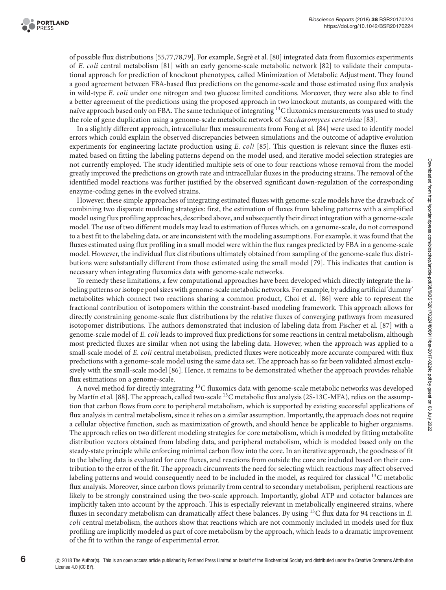

of possible flux distributions [\[55](#page-9-3)[,77,](#page-9-25)[78,](#page-9-26)[79\]](#page-9-27). For example, Segrè et al. [\[80\]](#page-9-28) integrated data from fluxomics experiments of *E. coli* central metabolism [\[81\]](#page-9-29) with an early genome-scale metabolic network [\[82\]](#page-9-30) to validate their computational approach for prediction of knockout phenotypes, called Minimization of Metabolic Adjustment. They found a good agreement between FBA-based flux predictions on the genome-scale and those estimated using flux analysis in wild-type *E. coli* under one nitrogen and two glucose limited conditions. Moreover, they were also able to find a better agreement of the predictions using the proposed approach in two knockout mutants, as compared with the naïve approach based only on FBA. The same technique of integrating <sup>13</sup>C fluxomics measurements was used to study the role of gene duplication using a genome-scale metabolic network of *Saccharomyces cerevisiae* [\[83\]](#page-10-0).

In a slightly different approach, intracellular flux measurements from Fong et al. [\[84\]](#page-10-1) were used to identify model errors which could explain the observed discrepancies between simulations and the outcome of adaptive evolution experiments for engineering lactate production using *E. coli* [\[85\]](#page-10-2). This question is relevant since the fluxes estimated based on fitting the labeling patterns depend on the model used, and iterative model selection strategies are not currently employed. The study identified multiple sets of one to four reactions whose removal from the model greatly improved the predictions on growth rate and intracellular fluxes in the producing strains. The removal of the identified model reactions was further justified by the observed significant down-regulation of the corresponding enzyme-coding genes in the evolved strains.

However, these simple approaches of integrating estimated fluxes with genome-scale models have the drawback of combining two disparate modeling strategies: first, the estimation of fluxes from labeling patterns with a simplified model using flux profiling approaches, described above, and subsequently their direct integration with a genome-scale model. The use of two different models may lead to estimation of fluxes which, on a genome-scale, do not correspond to a best fit to the labeling data, or are inconsistent with the modeling assumptions. For example, it was found that the fluxes estimated using flux profiling in a small model were within the flux ranges predicted by FBA in a genome-scale model. However, the individual flux distributions ultimately obtained from sampling of the genome-scale flux distributions were substantially different from those estimated using the small model [\[79\]](#page-9-27). This indicates that caution is necessary when integrating fluxomics data with genome-scale networks.

To remedy these limitations, a few computational approaches have been developed which directly integrate the labeling patterns or isotope poolsizes with genome-scale metabolic networks. For example, by adding artificial 'dummy' metabolites which connect two reactions sharing a common product, Choi et al. [\[86\]](#page-10-3) were able to represent the fractional contribution of isotopomers within the constraint-based modeling framework. This approach allows for directly constraining genome-scale flux distributions by the relative fluxes of converging pathways from measured isotopomer distributions. The authors demonstrated that inclusion of labeling data from Fischer et al. [\[87\]](#page-10-4) with a genome-scale model of *E. coli* leads to improved flux predictions for some reactions in central metabolism, although most predicted fluxes are similar when not using the labeling data. However, when the approach was applied to a small-scale model of *E. coli* central metabolism, predicted fluxes were noticeably more accurate compared with flux predictions with a genome-scale model using the same data set. The approach has so far been validated almost exclusively with the small-scale model [\[86\]](#page-10-3). Hence, it remains to be demonstrated whether the approach provides reliable flux estimations on a genome-scale.

A novel method for directly integrating 13C fluxomics data with genome-scale metabolic networks was developed by Martín et al. [\[88\]](#page-10-5). The approach, called two-scale <sup>13</sup>C metabolic flux analysis (2S-13C-MFA), relies on the assumption that carbon flows from core to peripheral metabolism, which is supported by existing successful applications of flux analysis in central metabolism, since it relies on a similar assumption. Importantly, the approach does not require a cellular objective function, such as maximization of growth, and should hence be applicable to higher organisms. The approach relies on two different modeling strategies for core metabolism, which is modeled by fitting metabolite distribution vectors obtained from labeling data, and peripheral metabolism, which is modeled based only on the steady-state principle while enforcing minimal carbon flow into the core. In an iterative approach, the goodness of fit to the labeling data is evaluated for core fluxes, and reactions from outside the core are included based on their contribution to the error of the fit. The approach circumvents the need for selecting which reactions may affect observed labeling patterns and would consequently need to be included in the model, as required for classical <sup>13</sup>C metabolic flux analysis. Moreover, since carbon flows primarily from central to secondary metabolism, peripheral reactions are likely to be strongly constrained using the two-scale approach. Importantly, global ATP and cofactor balances are implicitly taken into account by the approach. This is especially relevant in metabolically engineered strains, where fluxes in secondary metabolism can dramatically affect these balances. By using 13C flux data for 94 reactions in *E. coli* central metabolism, the authors show that reactions which are not commonly included in models used for flux profiling are implicitly modeled as part of core metabolism by the approach, which leads to a dramatic improvement of the fit to within the range of experimental error.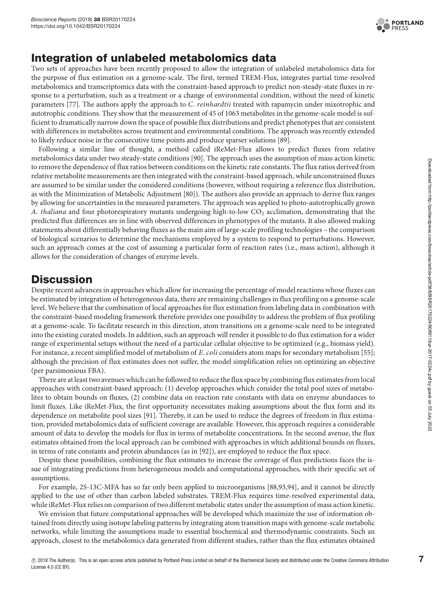

# **Integration of unlabeled metabolomics data**

Two sets of approaches have been recently proposed to allow the integration of unlabeled metabolomics data for the purpose of flux estimation on a genome-scale. The first, termed TREM-Flux, integrates partial time-resolved metabolomics and transcriptomics data with the constraint-based approach to predict non-steady-state fluxes in response to a perturbation, such as a treatment or a change of environmental condition, without the need of kinetic parameters [\[77\]](#page-9-25). The authors apply the approach to *C. reinhardtii* treated with rapamycin under mixotrophic and autotrophic conditions. They show that the measurement of 45 of 1063 metabolites in the genome-scale model is sufficient to dramatically narrow down the space of possible flux distributions and predict phenotypes that are consistent with differences in metabolites across treatment and environmental conditions. The approach was recently extended to likely reduce noise in the consecutive time points and produce sparser solutions [\[89\]](#page-10-6).

Following a similar line of thought, a method called iReMet-Flux allows to predict fluxes from relative metabolomics data under two steady-state conditions [\[90\]](#page-10-7). The approach uses the assumption of mass action kinetic to remove the dependence of flux ratios between conditions on the kinetic rate constants. The flux ratios derived from relative metabolite measurements are then integrated with the constraint-based approach, while unconstrained fluxes are assumed to be similar under the considered conditions (however, without requiring a reference flux distribution, as with the Minimization of Metabolic Adjustment [\[80\]](#page-9-28)). The authors also provide an approach to derive flux ranges by allowing for uncertainties in the measured parameters. The approach was applied to photo-autotrophically grown A. thaliana and four photorespiratory mutants undergoing high-to-low CO<sub>2</sub> acclimation, demonstrating that the predicted flux differences are in line with observed differences in phenotypes of the mutants. It also allowed making statements about differentially behaving fluxes as the main aim of large-scale profiling technologies – the comparison of biological scenarios to determine the mechanisms employed by a system to respond to perturbations. However, such an approach comes at the cost of assuming a particular form of reaction rates (i.e., mass action), although it allows for the consideration of changes of enzyme levels.

# **Discussion**

Despite recent advances in approaches which allow for increasing the percentage of model reactions whose fluxes can be estimated by integration of heterogeneous data, there are remaining challenges in flux profiling on a genome-scale level. We believe that the combination of local approaches for flux estimation from labeling data in combination with the constraint-based modeling framework therefore provides one possibility to address the problem of flux profiling at a genome-scale. To facilitate research in this direction, atom transitions on a genome-scale need to be integrated into the existing curated models. In addition, such an approach will render it possible to do flux estimation for a wider range of experimental setups without the need of a particular cellular objective to be optimized (e.g., biomass yield). For instance, a recent simplified model of metabolism of *E. coli* considers atom maps for secondary metabolism [\[55\]](#page-9-3); although the precision of flux estimates does not suffer, the model simplification relies on optimizing an objective (per parsimonious FBA).

There are at least two avenues which can be followed to reduce the flux space by combining flux estimates from local approaches with constraint-based approach: (1) develop approaches which consider the total pool sizes of metabolites to obtain bounds on fluxes, (2) combine data on reaction rate constants with data on enzyme abundances to limit fluxes. Like iReMet-Flux, the first opportunity necessitates making assumptions about the flux form and its dependence on metabolite pool sizes [\[91\]](#page-10-8). Thereby, it can be used to reduce the degrees of freedom in flux estimation, provided metabolomics data of sufficient coverage are available. However, this approach requires a considerable amount of data to develop the models for flux in terms of metabolite concentrations. In the second avenue, the flux estimates obtained from the local approach can be combined with approaches in which additional bounds on fluxes, in terms of rate constants and protein abundances (as in [\[92\]](#page-10-9)), are employed to reduce the flux space.

Despite these possibilities, combining the flux estimates to increase the coverage of flux predictions faces the issue of integrating predictions from heterogeneous models and computational approaches, with their specific set of assumptions.

For example, 2S-13C-MFA has so far only been applied to microorganisms [\[88,](#page-10-5)[93,](#page-10-10)[94\]](#page-10-11), and it cannot be directly applied to the use of other than carbon labeled substrates. TREM-Flux requires time-resolved experimental data, while iReMet-Flux relies on comparison of two different metabolic states under the assumption of mass action kinetic.

We envision that future computational approaches will be developed which maximize the use of information obtained from directly using isotope labeling patterns by integrating atom transition maps with genome-scale metabolic networks, while limiting the assumptions made to essential biochemical and thermodynamic constraints. Such an approach, closest to the metabolomics data generated from different studies, rather than the flux estimates obtained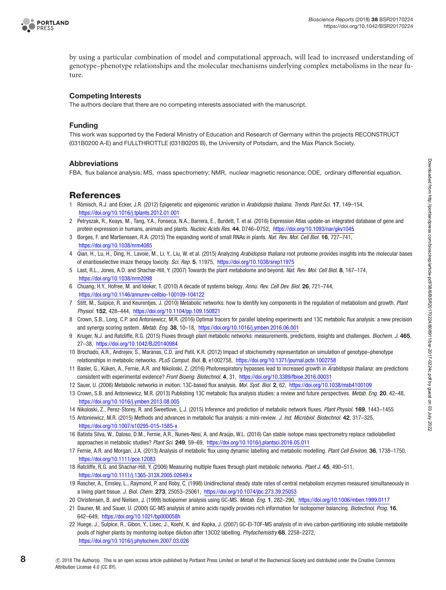

by using a particular combination of model and computational approach, will lead to increased understanding of genotype–phenotype relationships and the molecular mechanisms underlying complex metabolisms in the near future.

### **Competing Interests**

The authors declare that there are no competing interests associated with the manuscript.

### **Funding**

This work was supported by the Federal Ministry of Education and Research of Germany within the projects RECONSTRUCT (031B0200 A-E) and FULLTHROTTLE (031B0205 B), the University of Potsdam, and the Max Planck Society.

#### **Abbreviations**

FBA, flux balance analysis; MS, mass spectrometry; NMR, nuclear magnetic resonance; ODE, ordinary differential equation.

### **References**

- <span id="page-7-0"></span>1 Römisch, R.J. and Ecker, J.R. (2012) Epigenetic and epigenomic variation in Arabidopsis thaliana. Trends Plant Sci. 17, 149–154, <https://doi.org/10.1016/j.tplants.2012.01.001>
- <span id="page-7-1"></span>2 Petryszak, R., Keays, M., Tang, Y.A., Fonseca, N.A., Barrera, E., Burdett, T. et al. (2016) Expression Atlas update-an integrated database of gene and protein expression in humans, animals and plants. Nucleic Acids Res. **44**, D746–D752, <https://doi.org/10.1093/nar/gkv1045>
- <span id="page-7-2"></span>3 Borges, F. and Martienssen, R.A. (2015) The expanding world of small RNAs in plants. Nat. Rev. Mol. Cell Biol. **16**, 727–741, <https://doi.org/10.1038/nrm4085>
- <span id="page-7-3"></span>4 Qian, H., Lu, H., Ding, H., Lavoie, M., Li, Y., Liu, W. et al. (2015) Analyzing Arabidopsis thaliana root proteome provides insights into the molecular bases of enantioselective imaze therapy toxicity. Sci. Rep. **5**, 11975, <https://doi.org/10.1038/srep11975>
- <span id="page-7-4"></span>5 Last, R.L., Jones, A.D. and Shachar-Hill, Y. (2007) Towards the plant metabolome and beyond. Nat. Rev. Mol. Cell Biol. **8**, 167–174, <https://doi.org/10.1038/nrm2098>
- <span id="page-7-5"></span>6 Chuang, H.Y., Hofree, M. and Ideker, T. (2010) A decade of systems biology. Annu. Rev. Cell Dev. Biol. **26**, 721–744, <https://doi.org/10.1146/annurev-cellbio-100109-104122>
- <span id="page-7-6"></span>7 Stitt, M., Sulpice, R. and Keurentjes, J. (2010) Metabolic networks: how to identify key components in the regulation of metabolism and growth. Plant Physiol. **152**, 428–444, <https://doi.org/10.1104/pp.109.150821>
- <span id="page-7-7"></span>8 Crown, S.B., Long, C.P. and Antoniewicz, M.R. (2016) Optimal tracers for parallel labeling experiments and 13C metabolic flux analysis: a new precision and synergy scoring system. Metab. Eng. **38**, 10–18, <https://doi.org/10.1016/j.ymben.2016.06.001>
- <span id="page-7-8"></span>9 Kruger, N.J. and Ratcliffe, R.G. (2015) Fluxes through plant metabolic networks: measurements, predictions, insights and challenges. Biochem. J. **465**, 27–38, <https://doi.org/10.1042/BJ20140984>
- <span id="page-7-9"></span>10 Brochado, A.R., Andrejev, S., Maranas, C.D. and Patil, K.R. (2012) Impact of stoichiometry representation on simulation of genotype–phenotype relationships in metabolic networks. PLoS Comput. Biol. **8**, e1002758, <https://doi.org/10.1371/journal.pcbi.1002758>
- <span id="page-7-10"></span>11 Basler, G., Küken, A., Fernie, A.R. and Nikoloski, Z. (2016) Photorespiratory bypasses lead to increased growth in Arabidopsis thaliana: are predictions consistent with experimental evidence? Front Bioeng. Biotechnol. **4**, 31, <https://doi.org/10.3389/fbioe.2016.00031>
- <span id="page-7-11"></span>12 Sauer, U. (2006) Metabolic networks in motion: 13C-based flux analysis. Mol. Syst. Biol. **2**, 62, <https://doi.org/10.1038/msb4100109>
- 13 Crown, S.B. and Antoniewicz, M.R. (2013) Publishing 13C metabolic flux analysis studies: a review and future perspectives. Metab. Eng. **20**, 42–48, <https://doi.org/10.1016/j.ymben.2013.08.005>
- 14 Nikoloski, Z., Perez-Storey, R. and Sweetlove, L.J. (2015) Inference and prediction of metabolic network fluxes. Plant Physiol. **169**, 1443–1455
- <span id="page-7-12"></span>15 Antoniewicz, M.R. (2015) Methods and advances in metabolic flux analysis: a mini-review. J. Ind. Microbiol. Biotechnol. **42**, 317–325, <https://doi.org/10.1007/s10295-015-1585-x>
- <span id="page-7-13"></span>16 Batista Silva, W., Daloso, D.M., Fernie, A.R., Nunes-Nesi, A. and Araujo, W.L. (2016) Can stable isotope mass spectrometry replace radiolabelled ´ approaches in metabolic studies? Plant Sci. **249**, 59–69, <https://doi.org/10.1016/j.plantsci.2016.05.011>
- <span id="page-7-14"></span>17 Fernie, A.R. and Morgan, J.A. (2013) Analysis of metabolic flux using dynamic labelling and metabolic modelling. Plant Cell Environ. **36**, 1738–1750, <https://doi.org/10.1111/pce.12083>
- <span id="page-7-15"></span>18 Ratcliffe, R.G. and Shachar-Hill, Y. (2006) Measuring multiple fluxes through plant metabolic networks. Plant J. **45**, 490–511, <https://doi.org/10.1111/j.1365-313X.2005.02649.x>
- <span id="page-7-16"></span>19 Roscher, A., Emsley, L., Raymond, P. and Roby, C. (1998) Unidirectional steady state rates of central metabolism enzymes measured simultaneously in a living plant tissue. J. Biol. Chem. **273**, 25053–25061, <https://doi.org/10.1074/jbc.273.39.25053>
- <span id="page-7-17"></span>20 Christensen, B. and Nielsen, J. (1999) Isotopomer analysis using GC-MS. Metab. Eng. **1**, 282–290, <https://doi.org/10.1006/mben.1999.0117>
- 21 Dauner, M. and Sauer, U. (2000) GC-MS analysis of amino acids rapidly provides rich information for isotopomer balancing. Biotechnol. Prog. **16**, 642–649, <https://doi.org/10.1021/bp000058h>
- 22 Huege, J., Sulpice, R., Gibon, Y., Lisec, J., Koehl, K. and Kopka, J. (2007) GC-EI-TOF-MS analysis of in vivo carbon-partitioning into soluble metabolite pools of higher plants by monitoring isotope dilution after 13CO2 labelling. Phytochemistry **68**, 2258–2272, <https://doi.org/10.1016/j.phytochem.2007.03.026>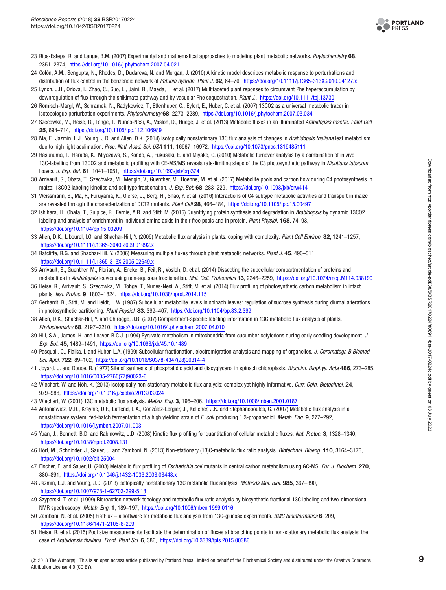

- <span id="page-8-0"></span>23 Rios-Estepa, R. and Lange, B.M. (2007) Experimental and mathematical approaches to modeling plant metabolic networks. Phytochemistry **68**, 2351–2374, <https://doi.org/10.1016/j.phytochem.2007.04.021>
- 24 Colón, A.M., Sengupta, N., Rhodes, D., Dudareva, N. and Morgan, J. (2010) A kinetic model describes metabolic response to perturbations and distribution of flux control in the benzenoid network of Petunia hybrida. Plant J. **62**, 64–76, <https://doi.org/10.1111/j.1365-313X.2010.04127.x>
- 25 Lynch, J.H., Orlova, I., Zhao, C., Guo, L., Jaini, R., Maeda, H. et al. (2017) Multifaceted plant reponses to circumvent Phe hyperaccumulation by downregulation of flux through the shikimate pathway and by vacuolar Phe sequestration. Plant J., <https://doi.org/10.1111/tpj.13730>
- <span id="page-8-1"></span>26 Romisch-Margl, W., Schramek, N., Radykewicz, T., Ettenhuber, C., Eylert, E., Huber, C. et al. (2007) 13CO2 as a universal metabolic tracer in ¨ isotopologue perturbation experiments. Phytochemistry **68**, 2273–2289, <https://doi.org/10.1016/j.phytochem.2007.03.034>
- <span id="page-8-2"></span>27 Szecowka, M., Heise, R., Tohge, T., Nunes-Nesi, A., Vosloh, D., Huege, J. et al. (2013) Metabolic fluxes in an illuminated Arabidopsis rosette. Plant Cell **25**, 694–714, <https://doi.org/10.1105/tpc.112.106989>
- <span id="page-8-3"></span>28 Ma, F., Jazmin, L.J., Young, J.D. and Allen, D.K. (2014) Isotopically nonstationary 13C flux analysis of changes in Arabidopsis thaliana leaf metabolism due to high light acclimation. Proc. Natl. Acad. Sci. USA **111**, 16967–16972, <https://doi.org/10.1073/pnas.1319485111>
- <span id="page-8-4"></span>29 Hasunuma, T., Harada, K., Miyazawa, S., Kondo, A., Fukusaki, E. and Miyake, C. (2010) Metabolic turnover analysis by a combination of in vivo 13C-labelling from 13CO2 and metabolic profiling with CE-MS/MS reveals rate-limiting steps of the C3 photosynthetic pathway in Nicotiana tabacum leaves. J. Exp. Bot. **61**, 1041–1051, <https://doi.org/10.1093/jxb/erp374>
- <span id="page-8-5"></span>30 Arrivault, S., Obata, T., Szecowka, M., Mengin, V., Guenther, M., Hoehne, M. et al. (2017) Metabolite pools and carbon flow during C4 photosynthesis in ´ maize: 13CO2 labeling kinetics and cell type fractionation. J. Exp. Bot. **68**, 283–229, <https://doi.org/10.1093/jxb/erw414>
- <span id="page-8-6"></span>31 Weissmann, S., Ma, F., Furuyama, K., Gierse, J., Berg, H., Shao, Y. et al. (2016) Interactions of C4 subtype metabolic activities and transport in maize are revealed through the characterization of DCT2 mutants. Plant Cell **28**, 466–484, <https://doi.org/10.1105/tpc.15.00497>
- <span id="page-8-7"></span>32 Ishihara, H., Obata, T., Sulpice, R., Fernie, A.R. and Stitt, M. (2015) Quantifying protein synthesis and degradation in Arabidopsis by dynamic 13CO2 labeling and analysis of enrichment in individual amino acids in their free pools and in protein. Plant Physiol. **168**, 74–93, <https://doi.org/10.1104/pp.15.00209>
- <span id="page-8-8"></span>33 Allen, D.K., Libourel, I.G. and Shachar-Hill, Y. (2009) Metabolic flux analysis in plants: coping with complexity. Plant Cell Environ. **32**, 1241–1257, <https://doi.org/10.1111/j.1365-3040.2009.01992.x>
- <span id="page-8-9"></span>34 Ratcliffe, R.G. and Shachar-Hill, Y. (2006) Measuring multiple fluxes through plant metabolic networks. Plant J. **45**, 490–511, <https://doi.org/10.1111/j.1365-313X.2005.02649.x>
- <span id="page-8-10"></span>35 Arrivault, S., Guenther, M., Florian, A., Encke, B., Feil, R., Vosloh, D. et al. (2014) Dissecting the subcellular compartmentation of proteins and metabolites in Arabidopsis leaves using non-aqueous fractionation. Mol. Cell. Proteomics **13**, 2246–2259, <https://doi.org/10.1074/mcp.M114.038190>
- <span id="page-8-11"></span>36 Heise, R., Arrivault, S., Szecowka, M., Tohge, T., Nunes-Nesi, A., Stitt, M. et al. (2014) Flux profiling of photosynthetic carbon metabolism in intact plants. Nat. Protoc. **9**, 1803–1824, <https://doi.org/10.1038/nprot.2014.115>
- <span id="page-8-12"></span>37 Gerhardt, R., Stitt, M. and Heldt, H.W. (1987) Subcellular metabolite levels in spinach leaves: regulation of sucrose synthesis during diurnal alterations in photosynthetic partitioning. Plant Physiol. **83**, 399–407, <https://doi.org/10.1104/pp.83.2.399>
- <span id="page-8-13"></span>38 Allen, D.K., Shachar-Hill, Y. and Ohlrogge, J.B. (2007) Compartment-specific labeling information in 13C metabolic flux analysis of plants. Phytochemistry **68**, 2197–2210, <https://doi.org/10.1016/j.phytochem.2007.04.010>
- <span id="page-8-14"></span>39 Hill, S.A., James, H. and Leaver, B.C.J. (1994) Pyruvate metabolism in mitochondria from cucumber cotyledons during early seedling development. J. Exp. Bot. **45**, 1489–1491, <https://doi.org/10.1093/jxb/45.10.1489>
- 40 Pasquali, C., Fialka, I. and Huber, L.A. (1999) Subcellular fractionation, electromigration analysis and mapping of organelles. J. Chromatogr. B Biomed. Sci. Appl. **722**, 89–102, [https://doi.org/10.1016/S0378-4347\(98\)00314-4](https://doi.org/10.1016/S0378-4347(98)00314-4)
- 41 Joyard, J. and Douce, R. (1977) Site of synthesis of phosphatidic acid and diacyglycerol in spinach chloroplasts. Biochim. Biophys. Acta **486**, 273–285, [https://doi.org/10.1016/0005-2760\(77\)90023-6](https://doi.org/10.1016/0005-2760(77)90023-6)
- <span id="page-8-15"></span>42 Wiechert, W. and Nöh, K. (2013) Isotopically non-stationary metabolic flux analysis: complex yet highly informative. Curr. Opin. Biotechnol. 24, 979–986, <https://doi.org/10.1016/j.copbio.2013.03.024>
- <span id="page-8-18"></span>43 Wiechert, W. (2001) 13C metabolic flux analysis. Metab. Eng. **3**, 195–206, <https://doi.org/10.1006/mben.2001.0187>
- <span id="page-8-19"></span>44 Antoniewicz, M.R., Kraynie, D.F., Laffend, L.A., Gonzalez-Lergier, J., Kelleher, J.K. and Stephanopoulos, G. (2007) Metabolic flux analysis in a ´ nonstationary system: fed-batch fermentation of a high yielding strain of E. coli producing 1,3-propanediol. Metab. Eng. **9**, 277–292, <https://doi.org/10.1016/j.ymben.2007.01.003>
- <span id="page-8-16"></span>45 Yuan, J., Bennett, B.D. and Rabinowitz, J.D. (2008) Kinetic flux profiling for quantitation of cellular metabolic fluxes. Nat. Protoc. **3**, 1328–1340, <https://doi.org/10.1038/nprot.2008.131>
- <span id="page-8-24"></span>46 Horl, M., Schnidder, J., Sauer, U. and Zamboni, N. (2013) Non-stationary (13)C-metabolic flux ratio analysis. ¨ Biotechnol. Bioeng. **110**, 3164–3176, <https://doi.org/10.1002/bit.25004>
- <span id="page-8-20"></span>47 Fischer, E. and Sauer, U. (2003) Metabolic flux profiling of Escherichia coli mutants in central carbon metabolism using GC-MS. Eur. J. Biochem. **270**, 880–891, <https://doi.org/10.1046/j.1432-1033.2003.03448.x>
- <span id="page-8-17"></span>48 Jazmin, L.J. and Young, J.D. (2013) Isotopically nonstationary 13C metabolic flux analysis. Methods Mol. Biol. **985**, 367–390, [https://doi.org/10.1007/978-1-62703-299-5˙18](https://doi.org/10.1007/978-1-62703-299-5_18)
- <span id="page-8-21"></span>49 Szyperski, T. et al. (1999) Bioreaction network topology and metabolic flux ratio analysis by biosynthetic fractional 13C labeling and two-dimensional NMR spectroscopy. Metab. Eng. **1**, 189–197, <https://doi.org/10.1006/mben.1999.0116>
- <span id="page-8-22"></span>50 Zamboni, N. et al. (2005) FiatFlux – a software for metabolic flux analysis from 13C-glucose experiments. BMC Bioinformatics **6**, 209, <https://doi.org/10.1186/1471-2105-6-209>
- <span id="page-8-23"></span>51 Heise, R. et al. (2015) Pool size measurements facilitate the determination of fluxes at branching points in non-stationary metabolic flux analysis: the case of Arabidopsis thaliana. Front. Plant Sci. **6**, 386, <https://doi.org/10.3389/fpls.2015.00386>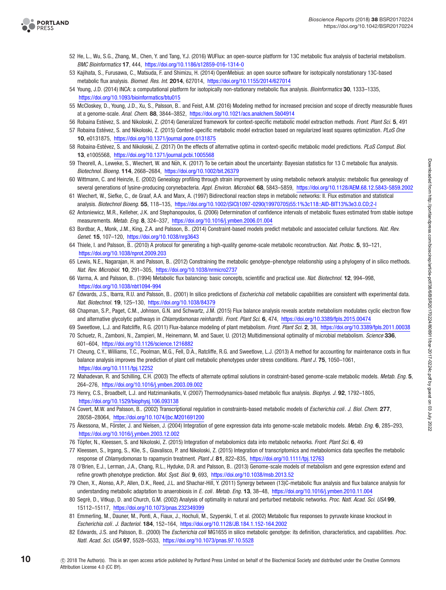

- <span id="page-9-0"></span>52 He, L., Wu, S.G., Zhang, M., Chen, Y. and Tang, Y.J. (2016) WUFlux: an open-source platform for 13C metabolic flux analysis of bacterial metabolism. BMC Bioinformatics **17**, 444, <https://doi.org/10.1186/s12859-016-1314-0>
- <span id="page-9-1"></span>53 Kajihata, S., Furusawa, C., Matsuda, F. and Shimizu, H. (2014) OpenMebius: an open source software for isotopically nonstationary 13C-based metabolic flux analysis. Biomed. Res. Int. **2014**, 627014, <https://doi.org/10.1155/2014/627014>
- <span id="page-9-2"></span>54 Young, J.D. (2014) INCA: a computational platform for isotopically non-stationary metabolic flux analysis. Bioinformatics **30**, 1333–1335, <https://doi.org/10.1093/bioinformatics/btu015>
- <span id="page-9-3"></span>55 McCloskey, D., Young, J.D., Xu, S., Palsson, B.. and Feist, A.M. (2016) Modeling method for increased precision and scope of directly measurable fluxes at a genome-scale. Anal. Chem. **88**, 3844–3852, <https://doi.org/10.1021/acs.analchem.5b04914>
- <span id="page-9-4"></span>56 Robaina Estevez, S. and Nikoloski, Z. (2014) Generalized framework for context-specific metabolic model extraction methods. ´ Front. Plant Sci. **5**, 491
- <span id="page-9-5"></span>57 Robaina Estévez, S. and Nikoloski, Z. (2015) Context-specific metabolic model extraction based on regularized least squares optimization. PLoS One **10**, e0131875, <https://doi.org/10.1371/journal.pone.0131875>
- <span id="page-9-6"></span>58 Robaina-Estévez, S. and Nikoloski, Z. (2017) On the effects of alternative optima in context-specific metabolic model predictions. PLoS Comput. Biol. **13**, e1005568, <https://doi.org/10.1371/journal.pcbi.1005568>
- <span id="page-9-7"></span>59 Theorell, A., Leweke, S., Wiechert, W. and Nöh, K. (2017) To be certain about the uncertainty: Bayesian statistics for 13 C metabolic flux analysis. Biotechnol. Bioeng. **114**, 2668–2684, <https://doi.org/10.1002/bit.26379>
- <span id="page-9-8"></span>60 Wittmann, C. and Heinzle, E. (2002) Genealogy profiling through strain improvement by using metabolic network analysis: metabolic flux genealogy of several generations of lysine-producing corynebacteria. Appl. Environ. Microbiol. **68**, 5843–5859, <https://doi.org/10.1128/AEM.68.12.5843-5859.2002>
- <span id="page-9-9"></span>61 Wiechert, W., Siefke, C., de Graaf, A.A. and Marx, A. (1997) Bidirectional reaction steps in metabolic networks: II. Flux estimation and statistical analysis. Biotechnol Bioeng. **55**, 118–135, [https://doi.org/10.1002/\(SICI\)1097-0290\(19970705\)55:1%3c118::AID-BIT13%3e3.0.CO;2-I](https://doi.org/10.1002/(SICI)1097-0290(19970705)55:1%3c118::AID-BIT13%3e3.0.CO;2-I)
- <span id="page-9-10"></span>62 Antoniewicz, M.R., Kelleher, J.K. and Stephanopoulos, G. (2006) Determination of confidence intervals of metabolic fluxes estimated from stable isotope measurements. Metab. Eng. **8**, 324–337, <https://doi.org/10.1016/j.ymben.2006.01.004>
- <span id="page-9-11"></span>63 Bordbar, A., Monk, J.M., King, Z.A. and Palsson, B.. (2014) Constraint-based models predict metabolic and associated cellular functions. Nat. Rev. Genet. **15**, 107–120, <https://doi.org/10.1038/nrg3643>
- <span id="page-9-12"></span>64 Thiele, I. and Palsson, B.. (2010) A protocol for generating a high-quality genome-scale metabolic reconstruction. Nat. Protoc. **5**, 93–121, <https://doi.org/10.1038/nprot.2009.203>
- <span id="page-9-13"></span>65 Lewis, N.E., Nagarajan, H. and Palsson, B.. (2012) Constraining the metabolic genotype–phenotype relationship using a phylogeny of in silico methods. Nat. Rev. Microbiol. **10**, 291–305, <https://doi.org/10.1038/nrmicro2737>
- <span id="page-9-14"></span>66 Varma, A. and Palsson, B.. (1994) Metabolic flux balancing: basic concepts, scientific and practical use. Nat. Biotechnol. **12**, 994–998, <https://doi.org/10.1038/nbt1094-994>
- <span id="page-9-15"></span>67 Edwards, J.S., Ibarra, R.U. and Palsson, B.. (2001) In silico predictions of Escherichia coli metabolic capabilities are consistent with experimental data. Nat. Biotechnol. **19**, 125–130, <https://doi.org/10.1038/84379>
- <span id="page-9-16"></span>68 Chapman, S.P., Paget, C.M., Johnson, G.N. and Schwartz, J.M. (2015) Flux balance analysis reveals acetate metabolism modulates cyclic electron flow and alternative glycolytic pathways in Chlamydomonas reinhardtii. Front. Plant Sci. **6**, 474, <https://doi.org/10.3389/fpls.2015.00474>
- <span id="page-9-18"></span>69 Sweetlove, L.J. and Ratcliffe, R.G. (2011) Flux-balance modeling of plant metabolism. Front. Plant Sci. **2**, 38, <https://doi.org/10.3389/fpls.2011.00038>
- <span id="page-9-17"></span>70 Schuetz, R., Zamboni, N., Zampieri, M., Heinemann, M. and Sauer, U. (2012) Multidimensional optimality of microbial metabolism. Science **336**, 601–604, <https://doi.org/10.1126/science.1216882>
- <span id="page-9-19"></span>71 Cheung, C.Y., Williams, T.C., Poolman, M.G., Fell, D.A., Ratcliffe, R.G. and Sweetlove, L.J. (2013) A method for accounting for maintenance costs in flux balance analysis improves the prediction of plant cell metabolic phenotypes under stress conditions. Plant J. **75**, 1050–1061, <https://doi.org/10.1111/tpj.12252>
- <span id="page-9-20"></span>72 Mahadevan, R. and Schilling, C.H. (2003) The effects of alternate optimal solutions in constraint-based genome-scale metabolic models. Metab. Eng. **5**, 264–276, <https://doi.org/10.1016/j.ymben.2003.09.002>
- <span id="page-9-21"></span>73 Henry, C.S., Broadbelt, L.J. and Hatzimanikatis, V. (2007) Thermodynamics-based metabolic flux analysis. Biophys. J. **92**, 1792–1805, <https://doi.org/10.1529/biophysj.106.093138>
- <span id="page-9-22"></span>74 Covert, M.W. and Palsson, B.. (2002) Transcriptional regulation in constraints-based metabolic models of Escherichia coli. J. Biol. Chem. **277**, 28058–28064, <https://doi.org/10.1074/jbc.M201691200>
- <span id="page-9-23"></span>75 Åkessona, M., Förster, J. and Nielsen, J. (2004) Integration of gene expression data into genome-scale metabolic models. Metab. Eng. 6, 285–293, <https://doi.org/10.1016/j.ymben.2003.12.002>
- <span id="page-9-24"></span>76 Töpfer, N., Kleessen, S. and Nikoloski, Z. (2015) Integration of metabolomics data into metabolic networks. Front. Plant Sci. 6, 49
- <span id="page-9-25"></span>77 Kleessen, S., Irgang, S., Klie, S., Giavalisco, P. and Nikoloski, Z. (2015) Integration of transcriptomics and metabolomics data specifies the metabolic response of Chlamydomonas to rapamycin treatment. Plant J. **81**, 822–835, <https://doi.org/10.1111/tpj.12763>
- <span id="page-9-26"></span>78 O'Brien, E.J., Lerman, J.A., Chang, R.L., Hyduke, D.R. and Palsson, B.. (2013) Genome-scale models of metabolism and gene expression extend and refine growth phenotype prediction. Mol. Syst. Biol. **9**, 693, <https://doi.org/10.1038/msb.2013.52>
- <span id="page-9-27"></span>79 Chen, X., Alonso, A.P., Allen, D.K., Reed, J.L. and Shachar-Hill, Y. (2011) Synergy between (13)C-metabolic flux analysis and flux balance analysis for understanding metabolic adaptation to anaerobiosis in E. coli. Metab. Eng. **13**, 38–48, <https://doi.org/10.1016/j.ymben.2010.11.004>
- <span id="page-9-28"></span>80 Segre, D., Vitkup, D. and Church, G.M. (2002) Analysis of optimality in natural and perturbed metabolic networks. ` Proc. Natl. Acad. Sci. USA **99**, 15112–15117, <https://doi.org/10.1073/pnas.232349399>
- <span id="page-9-29"></span>81 Emmerling, M., Dauner, M., Ponti, A., Fiaux, J., Hochuli, M., Szyperski, T. et al. (2002) Metabolic flux responses to pyruvate kinase knockout in Escherichia coli. J. Bacteriol. **184**, 152–164, <https://doi.org/10.1128/JB.184.1.152-164.2002>
- <span id="page-9-30"></span>82 Edwards, J.S. and Palsson, B.. (2000) The *Escherichia coli* MG1655 in silico metabolic genotype: its definition, characteristics, and capabilities. Proc. Natl. Acad. Sci. USA **97**, 5528–5533, <https://doi.org/10.1073/pnas.97.10.5528>